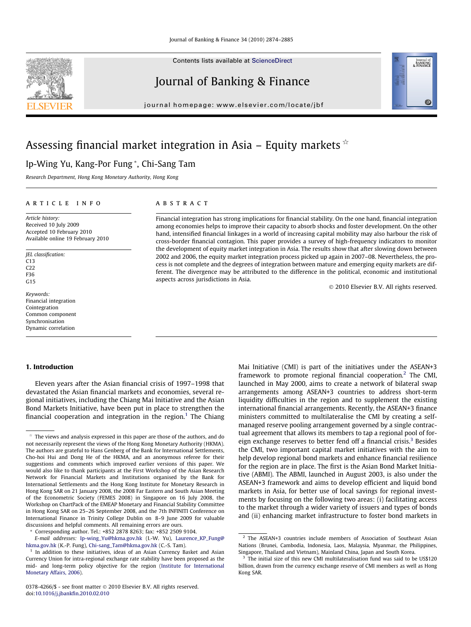Contents lists available at [ScienceDirect](http://www.sciencedirect.com/science/journal/03784266)

# Journal of Banking & Finance

journal homepage: [www.elsevier.com/locate/jbf](http://www.elsevier.com/locate/jbf)

# Assessing financial market integration in Asia – Equity markets  $\dot{\alpha}$

## Ip-Wing Yu, Kang-Por Fung \*, Chi-Sang Tam

Research Department, Hong Kong Monetary Authority, Hong Kong

### article info

Article history: Received 10 July 2009 Accepted 10 February 2010 Available online 19 February 2010

JEL classification:  $C13$ C22 F36 G15

Keywords: Financial integration Cointegration Common component Synchronisation Dynamic correlation

### **ABSTRACT**

Financial integration has strong implications for financial stability. On the one hand, financial integration among economies helps to improve their capacity to absorb shocks and foster development. On the other hand, intensified financial linkages in a world of increasing capital mobility may also harbour the risk of cross-border financial contagion. This paper provides a survey of high-frequency indicators to monitor the development of equity market integration in Asia. The results show that after slowing down between 2002 and 2006, the equity market integration process picked up again in 2007–08. Nevertheless, the process is not complete and the degrees of integration between mature and emerging equity markets are different. The divergence may be attributed to the difference in the political, economic and institutional aspects across jurisdictions in Asia.

- 2010 Elsevier B.V. All rights reserved.

Journal of<br>BANKING<br>& FINANCE

ത

### 1. Introduction

Eleven years after the Asian financial crisis of 1997–1998 that devastated the Asian financial markets and economies, several regional initiatives, including the Chiang Mai Initiative and the Asian Bond Markets Initiative, have been put in place to strengthen the financial cooperation and integration in the region.<sup>1</sup> The Chiang Mai Initiative (CMI) is part of the initiatives under the ASEAN+3 framework to promote regional financial cooperation.<sup>2</sup> The CMI, launched in May 2000, aims to create a network of bilateral swap arrangements among ASEAN+3 countries to address short-term liquidity difficulties in the region and to supplement the existing international financial arrangements. Recently, the ASEAN+3 finance ministers committed to multilateralise the CMI by creating a selfmanaged reserve pooling arrangement governed by a single contractual agreement that allows its members to tap a regional pool of foreign exchange reserves to better fend off a financial crisis.<sup>3</sup> Besides the CMI, two important capital market initiatives with the aim to help develop regional bond markets and enhance financial resilience for the region are in place. The first is the Asian Bond Market Initiative (ABMI). The ABMI, launched in August 2003, is also under the ASEAN+3 framework and aims to develop efficient and liquid bond markets in Asia, for better use of local savings for regional investments by focusing on the following two areas: (i) facilitating access to the market through a wider variety of issuers and types of bonds and (ii) enhancing market infrastructure to foster bond markets in



 $*$  The views and analysis expressed in this paper are those of the authors, and do not necessarily represent the views of the Hong Kong Monetary Authority (HKMA). The authors are grateful to Hans Genberg of the Bank for International Settlements, Cho-hoi Hui and Dong He of the HKMA, and an anonymous referee for their suggestions and comments which improved earlier versions of this paper. We would also like to thank participants at the First Workshop of the Asian Research Network for Financial Markets and Institutions organised by the Bank for International Settlements and the Hong Kong Institute for Monetary Research in Hong Kong SAR on 21 January 2008, the 2008 Far Eastern and South Asian Meeting of the Econometric Society (FEMES 2008) in Singapore on 16 July 2008, the Workshop on ChartPack of the EMEAP Monetary and Financial Stability Committee in Hong Kong SAR on 25–26 September 2008, and the 7th INFINITI Conference on International Finance in Trinity College Dublin on 8–9 June 2009 for valuable discussions and helpful comments. All remaining errors are ours.

Corresponding author. Tel.: +852 2878 8263; fax: +852 2509 9104.

E-mail addresses: [Ip-wing\\_Yu@hkma.gov.hk](mailto:Ip-wing_Yu@hkma.gov.hk) (I.-W. Yu), [Laurence\\_KP\\_Fung@](mailto:Laurence_KP_Fung@ hkma.gov.hk) [hkma.gov.hk](mailto:Laurence_KP_Fung@ hkma.gov.hk) (K.-P. Fung), [Chi-sang\\_Tam@hkma.gov.hk](mailto:Chi-sang_Tam@hkma.gov.hk) (C.-S. Tam).

<sup>&</sup>lt;sup>1</sup> In addition to these initiatives, ideas of an Asian Currency Basket and Asian Currency Union for intra-regional exchange rate stability have been proposed as the mid- and long-term policy objective for the region ([Institute for International](#page--1-0) [Monetary Affairs, 2006\)](#page--1-0).

 $\frac{2}{3}$  The ASEAN+3 countries include members of Association of Southeast Asian Nations (Brunei, Cambodia, Indonesia, Laos, Malaysia, Myanmar, the Philippines, Singapore, Thailand and Vietnam), Mainland China, Japan and South Korea.

<sup>&</sup>lt;sup>3</sup> The initial size of this new CMI multilateralisation fund was said to be US\$120 billion, drawn from the currency exchange reserve of CMI members as well as Hong Kong SAR.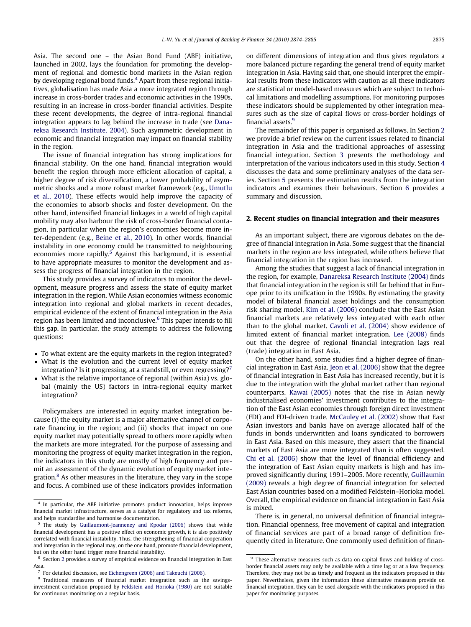Asia. The second one – the Asian Bond Fund (ABF) initiative, launched in 2002, lays the foundation for promoting the development of regional and domestic bond markets in the Asian region by developing regional bond funds.<sup>4</sup> Apart from these regional initiatives, globalisation has made Asia a more integrated region through increase in cross-border trades and economic activities in the 1990s, resulting in an increase in cross-border financial activities. Despite these recent developments, the degree of intra-regional financial integration appears to lag behind the increase in trade (see [Dana](#page--1-0)[reksa Research Institute, 2004](#page--1-0)). Such asymmetric development in economic and financial integration may impact on financial stability in the region.

The issue of financial integration has strong implications for financial stability. On the one hand, financial integration would benefit the region through more efficient allocation of capital, a higher degree of risk diversification, a lower probability of asymmetric shocks and a more robust market framework (e.g., [Umutlu](#page--1-0) [et al., 2010](#page--1-0)). These effects would help improve the capacity of the economies to absorb shocks and foster development. On the other hand, intensified financial linkages in a world of high capital mobility may also harbour the risk of cross-border financial contagion, in particular when the region's economies become more inter-dependent (e.g., [Beine et al., 2010](#page--1-0)). In other words, financial instability in one economy could be transmitted to neighbouring economies more rapidly.<sup>5</sup> Against this background, it is essential to have appropriate measures to monitor the development and assess the progress of financial integration in the region.

This study provides a survey of indicators to monitor the development, measure progress and assess the state of equity market integration in the region. While Asian economies witness economic integration into regional and global markets in recent decades, empirical evidence of the extent of financial integration in the Asia region has been limited and inconclusive.<sup>6</sup> This paper intends to fill this gap. In particular, the study attempts to address the following questions:

- To what extent are the equity markets in the region integrated? - What is the evolution and the current level of equity market
- integration? Is it progressing, at a standstill, or even regressing?<sup>7</sup>
- What is the relative importance of regional (within Asia) vs. global (mainly the US) factors in intra-regional equity market integration?

Policymakers are interested in equity market integration because (i) the equity market is a major alternative channel of corporate financing in the region; and (ii) shocks that impact on one equity market may potentially spread to others more rapidly when the markets are more integrated. For the purpose of assessing and monitoring the progress of equity market integration in the region, the indicators in this study are mostly of high frequency and permit an assessment of the dynamic evolution of equity market integration.<sup>8</sup> As other measures in the literature, they vary in the scope and focus. A combined use of these indicators provides information on different dimensions of integration and thus gives regulators a more balanced picture regarding the general trend of equity market integration in Asia. Having said that, one should interpret the empirical results from these indicators with caution as all these indicators are statistical or model-based measures which are subject to technical limitations and modelling assumptions. For monitoring purposes these indicators should be supplemented by other integration measures such as the size of capital flows or cross-border holdings of financial assets.<sup>9</sup>

The remainder of this paper is organised as follows. In Section 2 we provide a brief review on the current issues related to financial integration in Asia and the traditional approaches of assessing financial integration. Section [3](#page--1-0) presents the methodology and interpretation of the various indicators used in this study. Section [4](#page--1-0) discusses the data and some preliminary analyses of the data series. Section [5](#page--1-0) presents the estimation results from the integration indicators and examines their behaviours. Section [6](#page--1-0) provides a summary and discussion.

### 2. Recent studies on financial integration and their measures

As an important subject, there are vigorous debates on the degree of financial integration in Asia. Some suggest that the financial markets in the region are less integrated, while others believe that financial integration in the region has increased.

Among the studies that suggest a lack of financial integration in the region, for example, [Danareksa Research Institute \(2004\)](#page--1-0) finds that financial integration in the region is still far behind that in Europe prior to its unification in the 1990s. By estimating the gravity model of bilateral financial asset holdings and the consumption risk sharing model, [Kim et al. \(2006\)](#page--1-0) conclude that the East Asian financial markets are relatively less integrated with each other than to the global market. [Cavoli et al. \(2004\)](#page--1-0) show evidence of limited extent of financial market integration. [Lee \(2008\)](#page--1-0) finds out that the degree of regional financial integration lags real (trade) integration in East Asia.

On the other hand, some studies find a higher degree of financial integration in East Asia. [Jeon et al. \(2006\)](#page--1-0) show that the degree of financial integration in East Asia has increased recently, but it is due to the integration with the global market rather than regional counterparts. [Kawai \(2005\)](#page--1-0) notes that the rise in Asian newly industrialised economies' investment contributes to the integration of the East Asian economies through foreign direct investment (FDI) and FDI-driven trade. [McCauley et al. \(2002\)](#page--1-0) show that East Asian investors and banks have on average allocated half of the funds in bonds underwritten and loans syndicated to borrowers in East Asia. Based on this measure, they assert that the financial markets of East Asia are more integrated than is often suggested. [Chi et al. \(2006\)](#page--1-0) show that the level of financial efficiency and the integration of East Asian equity markets is high and has improved significantly during 1991–2005. More recently, [Guillaumin](#page--1-0) [\(2009\)](#page--1-0) reveals a high degree of financial integration for selected East Asian countries based on a modified Feldstein–Horioka model. Overall, the empirical evidence on financial integration in East Asia is mixed.

There is, in general, no universal definition of financial integration. Financial openness, free movement of capital and integration of financial services are part of a broad range of definition frequently cited in literature. One commonly used definition of finan-

<sup>4</sup> In particular, the ABF initiative promotes product innovation, helps improve financial market infrastructure, serves as a catalyst for regulatory and tax reforms, and helps standardise and harmonise documentation.

<sup>&</sup>lt;sup>5</sup> The study by [Guillaumont-Jeanneney and Kpodar \(2006\)](#page--1-0) shows that while financial development has a positive effect on economic growth, it is also positively correlated with financial instability. Thus, the strengthening of financial cooperation and integration in the regional may, on the one hand, promote financial development, but on the other hand trigger more financial instability.

<sup>6</sup> Section 2 provides a survey of empirical evidence on financial integration in East Asia.

<sup>7</sup> For detailed discussion, see [Eichengreen \(2006\) and Takeuchi \(2006\).](#page--1-0)

Traditional measures of financial market integration such as the savingsinvestment correlation proposed by [Feldstein and Horioka \(1980\)](#page--1-0) are not suitable for continuous monitoring on a regular basis.

<sup>&</sup>lt;sup>9</sup> These alternative measures such as data on capital flows and holding of crossborder financial assets may only be available with a time lag or at a low frequency. Therefore, they may not be as timely and frequent as the indicators proposed in this paper. Nevertheless, given the information these alternative measures provide on financial integration, they can be used alongside with the indicators proposed in this paper for monitoring purposes.